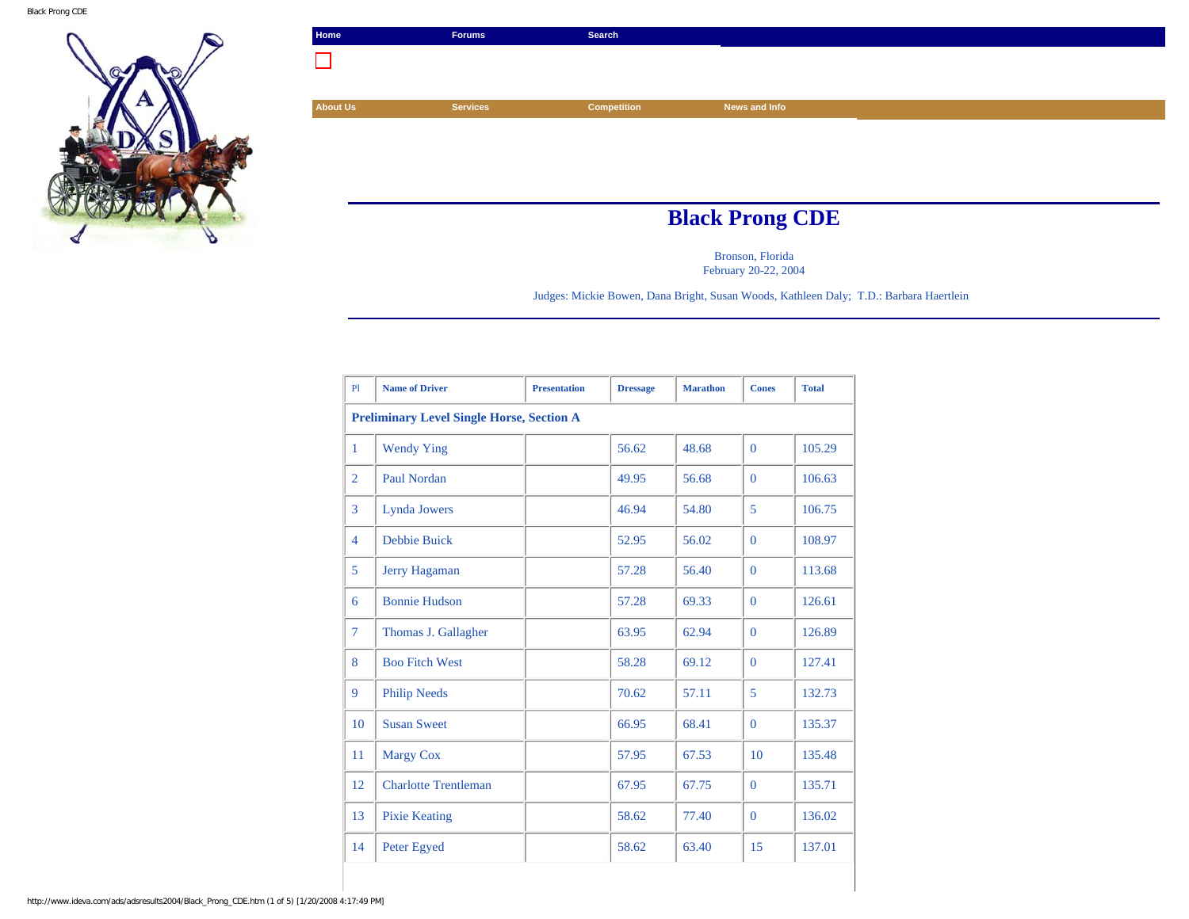

| Home                   | <b>Forums</b>   | Search             |               |  |  |
|------------------------|-----------------|--------------------|---------------|--|--|
| ×.                     |                 |                    |               |  |  |
|                        |                 |                    |               |  |  |
| <b>About Us</b>        | <b>Services</b> | <b>Competition</b> | News and Info |  |  |
|                        |                 |                    |               |  |  |
|                        |                 |                    |               |  |  |
|                        |                 |                    |               |  |  |
|                        |                 |                    |               |  |  |
| <b>Black Prong CDE</b> |                 |                    |               |  |  |

Bronson, Florida February 20-22, 2004

Judges: Mickie Bowen, Dana Bright, Susan Woods, Kathleen Daly; T.D.: Barbara Haertlein

| P1                                               | <b>Name of Driver</b>       | <b>Presentation</b> | <b>Dressage</b> | <b>Marathon</b> | <b>Cones</b> | <b>Total</b> |
|--------------------------------------------------|-----------------------------|---------------------|-----------------|-----------------|--------------|--------------|
| <b>Preliminary Level Single Horse, Section A</b> |                             |                     |                 |                 |              |              |
| $\mathbf{1}$                                     | <b>Wendy Ying</b>           |                     | 56.62           | 48.68           | $\Omega$     | 105.29       |
| $\overline{2}$                                   | <b>Paul Nordan</b>          |                     | 49.95           | 56.68           | $\Omega$     | 106.63       |
| 3                                                | Lynda Jowers                |                     | 46.94           | 54.80           | 5            | 106.75       |
| $\overline{4}$                                   | <b>Debbie Buick</b>         |                     | 52.95           | 56.02           | $\Omega$     | 108.97       |
| 5                                                | <b>Jerry Hagaman</b>        |                     | 57.28           | 56.40           | $\Omega$     | 113.68       |
| 6                                                | <b>Bonnie Hudson</b>        |                     | 57.28           | 69.33           | $\Omega$     | 126.61       |
| $\overline{7}$                                   | Thomas J. Gallagher         |                     | 63.95           | 62.94           | $\Omega$     | 126.89       |
| 8                                                | <b>Boo Fitch West</b>       |                     | 58.28           | 69.12           | $\Omega$     | 127.41       |
| 9                                                | <b>Philip Needs</b>         |                     | 70.62           | 57.11           | 5            | 132.73       |
| 10                                               | <b>Susan Sweet</b>          |                     | 66.95           | 68.41           | $\Omega$     | 135.37       |
| 11                                               | <b>Margy Cox</b>            |                     | 57.95           | 67.53           | 10           | 135.48       |
| 12                                               | <b>Charlotte Trentleman</b> |                     | 67.95           | 67.75           | $\Omega$     | 135.71       |
| 13                                               | <b>Pixie Keating</b>        |                     | 58.62           | 77.40           | $\Omega$     | 136.02       |
| 14                                               | Peter Egyed                 |                     | 58.62           | 63.40           | 15           | 137.01       |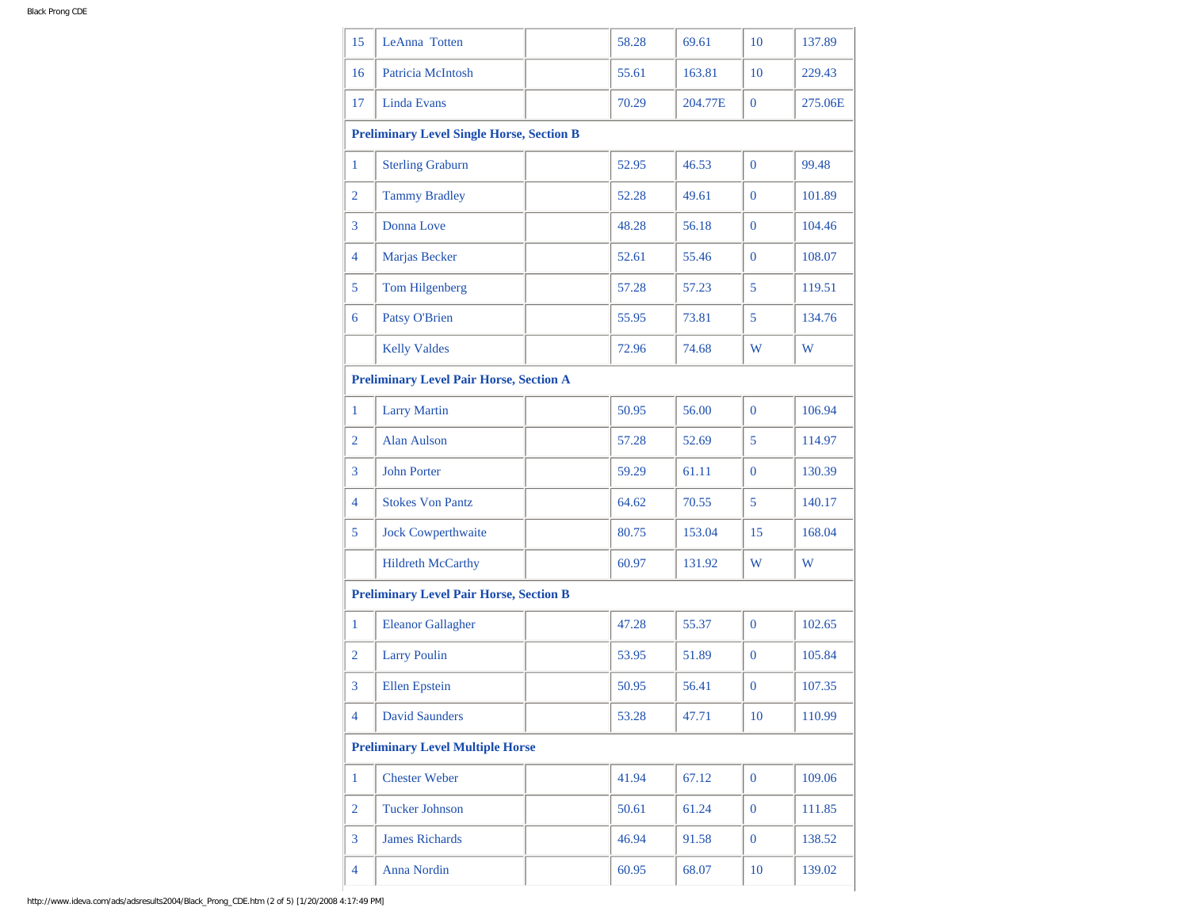| 15             | LeAnna Totten                                    | 58.28 | 69.61   | 10             | 137.89  |
|----------------|--------------------------------------------------|-------|---------|----------------|---------|
| 16             | Patricia McIntosh                                | 55.61 | 163.81  | 10             | 229.43  |
| 17             | Linda Evans                                      | 70.29 | 204.77E | $\overline{0}$ | 275.06E |
|                | <b>Preliminary Level Single Horse, Section B</b> |       |         |                |         |
| 1              | <b>Sterling Graburn</b>                          | 52.95 | 46.53   | $\overline{0}$ | 99.48   |
| $\overline{2}$ | <b>Tammy Bradley</b>                             | 52.28 | 49.61   | $\Omega$       | 101.89  |
| 3              | Donna Love                                       | 48.28 | 56.18   | $\overline{0}$ | 104.46  |
| $\overline{4}$ | Marjas Becker                                    | 52.61 | 55.46   | $\overline{0}$ | 108.07  |
| 5              | <b>Tom Hilgenberg</b>                            | 57.28 | 57.23   | 5              | 119.51  |
| 6              | <b>Patsy O'Brien</b>                             | 55.95 | 73.81   | 5              | 134.76  |
|                | <b>Kelly Valdes</b>                              | 72.96 | 74.68   | W              | W       |
|                | <b>Preliminary Level Pair Horse, Section A</b>   |       |         |                |         |
| 1              | <b>Larry Martin</b>                              | 50.95 | 56.00   | $\overline{0}$ | 106.94  |
| $\overline{2}$ | Alan Aulson                                      | 57.28 | 52.69   | 5              | 114.97  |
| 3              | <b>John Porter</b>                               | 59.29 | 61.11   | $\overline{0}$ | 130.39  |
| 4              | <b>Stokes Von Pantz</b>                          | 64.62 | 70.55   | 5 <sup>5</sup> | 140.17  |
| 5              | <b>Jock Cowperthwaite</b>                        | 80.75 | 153.04  | 15             | 168.04  |
|                | <b>Hildreth McCarthy</b>                         | 60.97 | 131.92  | W              | W       |
|                | <b>Preliminary Level Pair Horse, Section B</b>   |       |         |                |         |
| 1              | <b>Eleanor Gallagher</b>                         | 47.28 | 55.37   | $\overline{0}$ | 102.65  |
| $\overline{2}$ | <b>Larry Poulin</b>                              | 53.95 | 51.89   | $\overline{0}$ | 105.84  |
| $\overline{3}$ | <b>Ellen</b> Epstein                             | 50.95 | 56.41   | $\mathbf{0}$   | 107.35  |
| 4              | <b>David Saunders</b>                            | 53.28 | 47.71   | 10             | 110.99  |
|                | <b>Preliminary Level Multiple Horse</b>          |       |         |                |         |
| $\mathbf{1}$   | <b>Chester Weber</b>                             | 41.94 | 67.12   | $\mathbf{0}$   | 109.06  |
| $\overline{2}$ | <b>Tucker Johnson</b>                            | 50.61 | 61.24   | $\overline{0}$ | 111.85  |
| $\overline{3}$ | <b>James Richards</b>                            | 46.94 | 91.58   | $\mathbf{0}$   | 138.52  |
| $\overline{4}$ | <b>Anna Nordin</b>                               | 60.95 | 68.07   | 10             | 139.02  |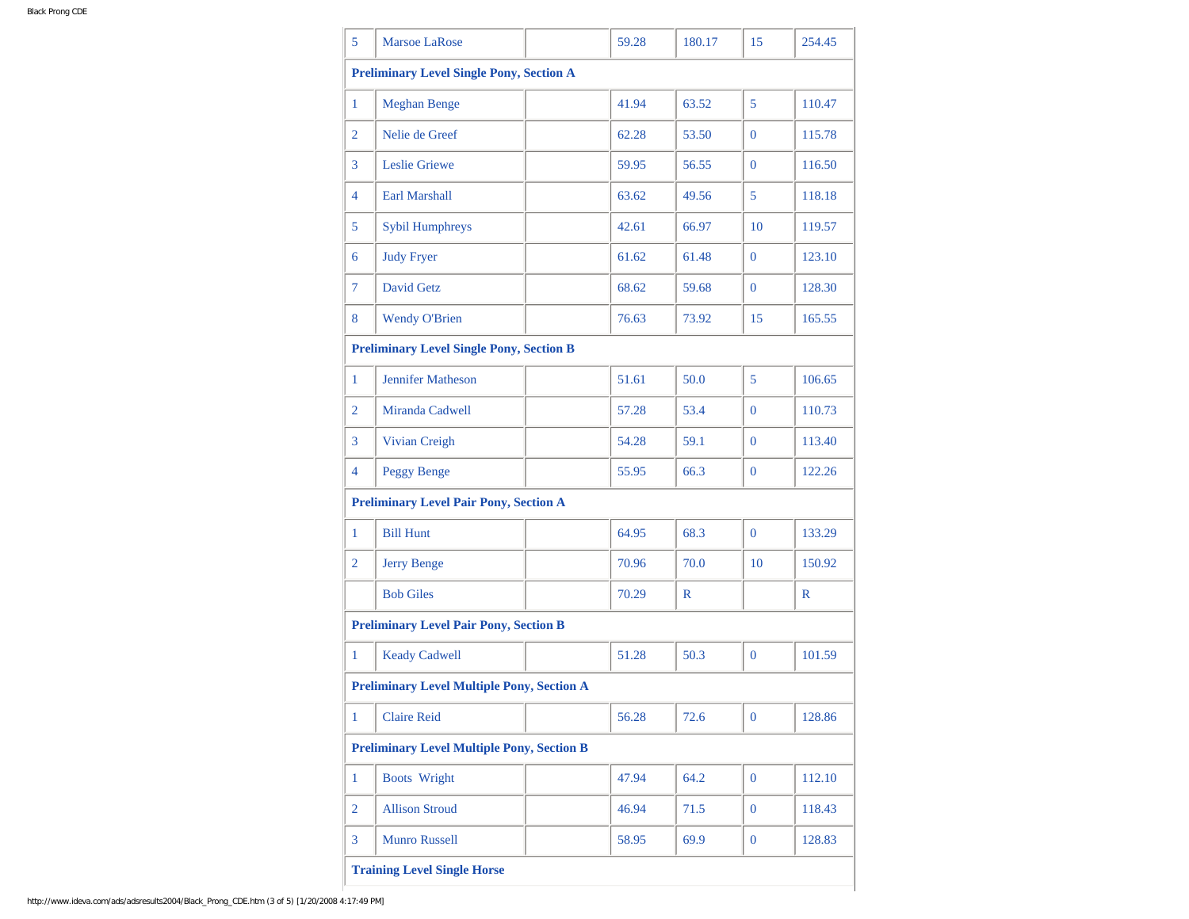| 5              | <b>Marsoe LaRose</b>                              | 59.28 | 180.17 | 15             | 254.45      |
|----------------|---------------------------------------------------|-------|--------|----------------|-------------|
|                | <b>Preliminary Level Single Pony, Section A</b>   |       |        |                |             |
| 1              | <b>Meghan Benge</b>                               | 41.94 | 63.52  | 5              | 110.47      |
| $\overline{2}$ | Nelie de Greef                                    | 62.28 | 53.50  | $\overline{0}$ | 115.78      |
| 3              | Leslie Griewe                                     | 59.95 | 56.55  | $\overline{0}$ | 116.50      |
| 4              | <b>Earl Marshall</b>                              | 63.62 | 49.56  | 5              | 118.18      |
| 5              | Sybil Humphreys                                   | 42.61 | 66.97  | 10             | 119.57      |
| 6              | <b>Judy Fryer</b>                                 | 61.62 | 61.48  | $\overline{0}$ | 123.10      |
| 7              | David Getz                                        | 68.62 | 59.68  | $\overline{0}$ | 128.30      |
| 8              | <b>Wendy O'Brien</b>                              | 76.63 | 73.92  | 15             | 165.55      |
|                | <b>Preliminary Level Single Pony, Section B</b>   |       |        |                |             |
| 1              | <b>Jennifer Matheson</b>                          | 51.61 | 50.0   | 5              | 106.65      |
| 2              | Miranda Cadwell                                   | 57.28 | 53.4   | $\overline{0}$ | 110.73      |
| 3              | Vivian Creigh                                     | 54.28 | 59.1   | $\overline{0}$ | 113.40      |
| 4              | <b>Peggy Benge</b>                                | 55.95 | 66.3   | $\overline{0}$ | 122.26      |
|                | <b>Preliminary Level Pair Pony, Section A</b>     |       |        |                |             |
| 1              | <b>Bill Hunt</b>                                  | 64.95 | 68.3   | $\overline{0}$ | 133.29      |
| $\overline{2}$ | <b>Jerry Benge</b>                                | 70.96 | 70.0   | 10             | 150.92      |
|                | <b>Bob Giles</b>                                  | 70.29 | R      |                | $\mathbb R$ |
|                | <b>Preliminary Level Pair Pony, Section B</b>     |       |        |                |             |
| $\mathbf{1}$   | <b>Keady Cadwell</b>                              | 51.28 | 50.3   | $\overline{0}$ | 101.59      |
|                | <b>Preliminary Level Multiple Pony, Section A</b> |       |        |                |             |
| 1              | <b>Claire Reid</b>                                | 56.28 | 72.6   | $\overline{0}$ | 128.86      |
|                | <b>Preliminary Level Multiple Pony, Section B</b> |       |        |                |             |
| $\mathbf{1}$   | <b>Boots Wright</b>                               | 47.94 | 64.2   | $\mathbf{0}$   | 112.10      |
| 2              | <b>Allison Stroud</b>                             | 46.94 | 71.5   | $\mathbf{0}$   | 118.43      |
| 3              | <b>Munro Russell</b>                              | 58.95 | 69.9   | $\mathbf{0}$   | 128.83      |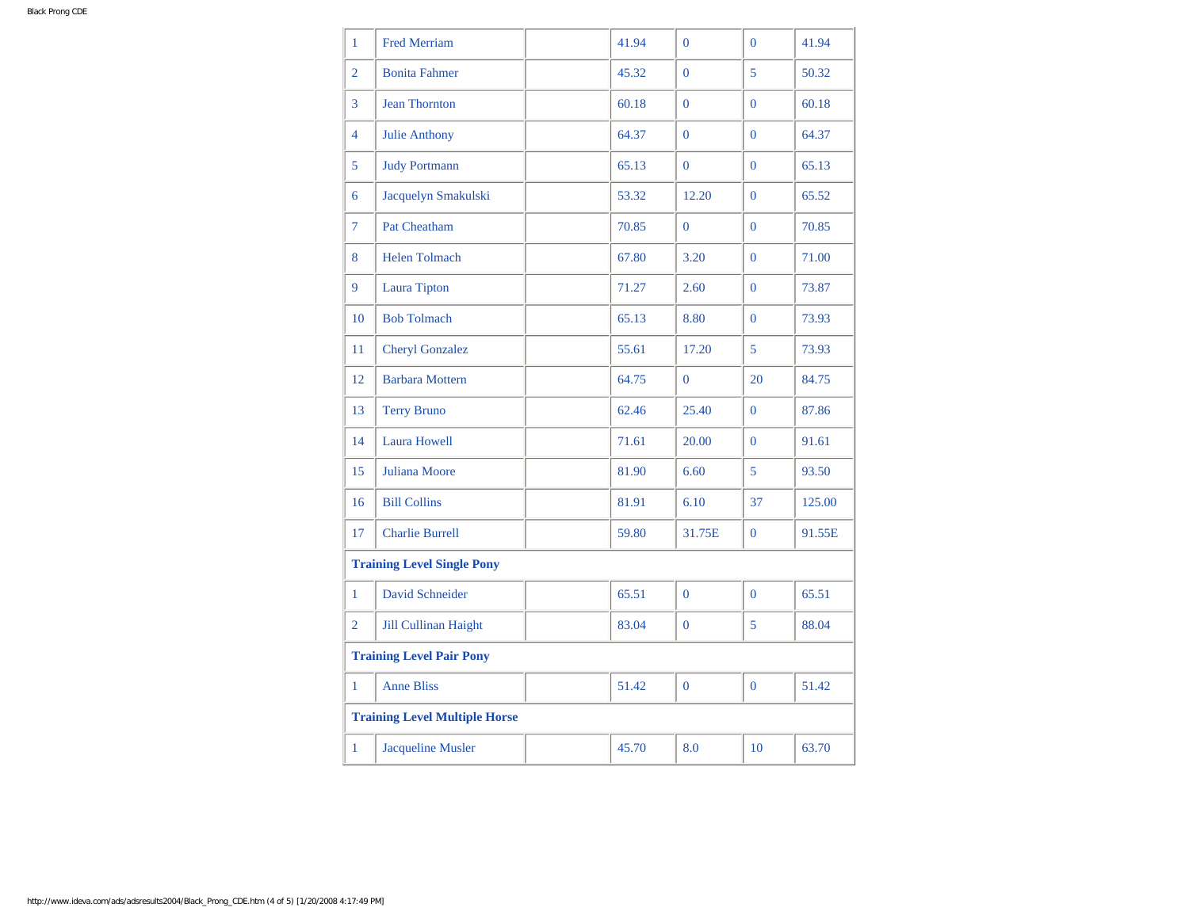| 1                                    | <b>Fred Merriam</b>         |  | 41.94 | $\overline{0}$ | $\Omega$       | 41.94  |
|--------------------------------------|-----------------------------|--|-------|----------------|----------------|--------|
| $\overline{2}$                       | <b>Bonita Fahmer</b>        |  | 45.32 | $\mathbf{0}$   | 5              | 50.32  |
| 3                                    | <b>Jean Thornton</b>        |  | 60.18 | $\mathbf{0}$   | $\Omega$       | 60.18  |
| $\overline{4}$                       | <b>Julie Anthony</b>        |  | 64.37 | $\mathbf{0}$   | $\mathbf{0}$   | 64.37  |
| 5                                    | <b>Judy Portmann</b>        |  | 65.13 | $\Omega$       | $\Omega$       | 65.13  |
| 6                                    | Jacquelyn Smakulski         |  | 53.32 | 12.20          | $\Omega$       | 65.52  |
| $\overline{7}$                       | <b>Pat Cheatham</b>         |  | 70.85 | $\overline{0}$ | $\overline{0}$ | 70.85  |
| 8                                    | Helen Tolmach               |  | 67.80 | 3.20           | $\overline{0}$ | 71.00  |
| 9                                    | <b>Laura Tipton</b>         |  | 71.27 | 2.60           | $\Omega$       | 73.87  |
| 10                                   | <b>Bob Tolmach</b>          |  | 65.13 | 8.80           | $\Omega$       | 73.93  |
| 11                                   | <b>Cheryl Gonzalez</b>      |  | 55.61 | 17.20          | 5              | 73.93  |
| 12                                   | <b>Barbara Mottern</b>      |  | 64.75 | $\mathbf{0}$   | 20             | 84.75  |
| 13                                   | <b>Terry Bruno</b>          |  | 62.46 | 25.40          | $\Omega$       | 87.86  |
| 14                                   | <b>Laura Howell</b>         |  | 71.61 | 20.00          | $\Omega$       | 91.61  |
| 15                                   | Juliana Moore               |  | 81.90 | 6.60           | 5              | 93.50  |
| 16                                   | <b>Bill Collins</b>         |  | 81.91 | 6.10           | 37             | 125.00 |
| 17                                   | <b>Charlie Burrell</b>      |  | 59.80 | 31.75E         | $\mathbf{0}$   | 91.55E |
| <b>Training Level Single Pony</b>    |                             |  |       |                |                |        |
| 1                                    | <b>David Schneider</b>      |  | 65.51 | $\overline{0}$ | $\overline{0}$ | 65.51  |
| $\overline{2}$                       | <b>Jill Cullinan Haight</b> |  | 83.04 | $\overline{0}$ | 5              | 88.04  |
| <b>Training Level Pair Pony</b>      |                             |  |       |                |                |        |
| 1                                    | <b>Anne Bliss</b>           |  | 51.42 | $\overline{0}$ | $\Omega$       | 51.42  |
| <b>Training Level Multiple Horse</b> |                             |  |       |                |                |        |
| 1                                    | <b>Jacqueline Musler</b>    |  | 45.70 | 8.0            | 10             | 63.70  |